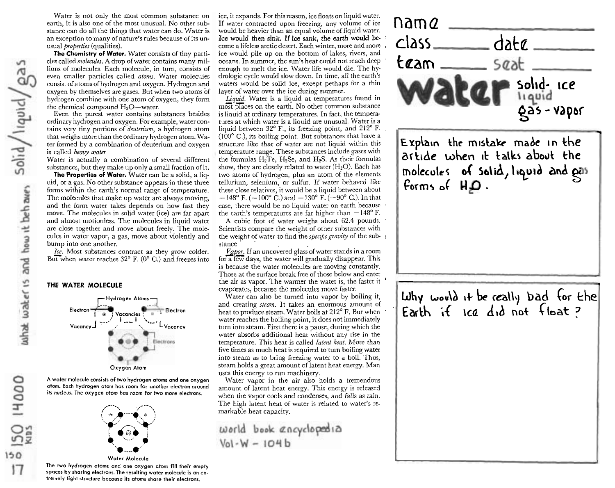4000

 $150$ 

Water is not only the most common substance on earth, it is also one of the most unusual. No other substance can do all the things that water can do. Water is an exception to many of nature's rules because of its unusual *properties* (qualities).

**The Chemistry of Water.** Water consists of tiny particles called *molecules*. A drop of water contains many millions of molecules. Each molecule, in turn, consists of even smaller particles called atoms. Water molecules consist of atoms of hydrogen and oxygen. Hydrogen and oxygen by themselves are gases. But when two atoms of hydrogen combine with one atom of oxygen, they form the chemical compound  $H_2O$ —water.

Even the purest water contains substances besides ordinary hydrogen and oxygen. For example, watercontains very tiny portions of deuterium, a hydrogen atom that weighs more than the ordinary hydrogen atom. Water formed by a combination of deuterium and oxygen is called heavy water

Water is actually a combination of several different substances, but they make up only a small fraction of it.

**The Properties of Water.** Water can be a solid, a liquid, or a gas. No other substance appears in these three forms within the earth's normal range of temperature. The molecules that make up water are always moving, and the form water talces depends on how fast they move. The molecules in solid water (ice) are far apart and almost motionless. The molecules in liquid water are close together and move about freely. The molecules in water vapor, a gas, move about violently and bump into one another.

Ice. Most substances contract as they grow colder. But when water reaches 32° F. (0° C.) and freezes into

r Hydrogen Atoms7 Electron **1-1-1 Vacancies , Partial Electron** Vacancies<br>| **1 ---- I | <sup>1</sup> ---- L** Vacancy<br>| 1 ---- L Vacancy vacancy1 ---" .,, . Lvacancv chrons Oxygen Atom

**THE WATER MOLECULE** 

A water molecule consists of two hydrogen atoms and one oxygen atom. Each hydrogen atom has room for another electron around its nudeus. The oxygen atom has room for two more electrons, ,---.



The two hydrogen atoms ond one oxygen atom fill their empty spaces by sharing electrons. The resulting water molecule is an extremely tight structure because its atoms share their electrons.

ice, it expands. For this reason, ice floats on liquid water. If water contracted upon freezing, any volume of ice<br>would be heavier than an equal volume of liquid water.<br>Ice would then sink. If ice sank, the earth would be-<br>come a lifeless arctic desert. Each winter, more and more Ice would then sink. If ice sank, the earth would be- ' The would then sink. If ice sank, the earth would be-<br>come a lifeless arctic desert. Each winter, more and more ,  $\Box$   $\Delta$   $\leq$ ice would pile up on the bottom of lakes, rivers, and oceans. In summer, the sun's heat could not reach deep enough to melt the ice. Water life would die. The hy- $\epsilon$  emough to melt the ice. Water life would die. The hy- $\epsilon$ drologic cycle would slow down. In time, all the earth's

Liquid. Water is a liquid at temperatures found in liquid between **32"** F., its freezing point, and 212" F. (100" C.), its boiling point. But substances that have a structure like that of water are not liquid within this temperature range. These substances include gases with the formulas  $H_2Te$ ,  $H_2Se$ , and  $H_2S$ . As their formulas show, they are closely related to water  $(H<sub>2</sub>O)$ . Each has two atoms of hydrogen, plus an atom of the elements tellurium, selenium, or sulfur. If water behaved like these close relatives, it would be a liquid between about  $-148^{\circ}$  F. ( $-100^{\circ}$  C.) and  $-130^{\circ}$  F. ( $-90^{\circ}$  C.). In that case, there would be no liquid water on earth because the earth's temperatures are far higher than  $-148^{\circ}$  F.

A cubic foot of water weighs about 62.4 pounds, Scientists compare the weight of other substances with the weight of water to find the specific gravity of the sub- ! stance

 $V$ apor. If an uncovered glass of water stands in a room for a few days, the water will gradually disappear. This is because the water molecules are moving constantly. Those at the surface break free of those below and enter the air as vapor. The warmer the water is, the faster it ' evaporates, because the molecules move faster.

Water can also be turned into vapor by boiling it, and creating steam. It takes an enormous amount of heat to produce steam. Water boils at 212° F. But when water reaches the boiling point, it does not immediately turn into steam. First there is a pause, during which the water absorbs additional heat without any rise in the temperature. This heat is called *latent heat*. More than five times as much heat is required to turn boiling water into steam as to bring freezing water to a boil. Thus, steam holds a great amount of latent heat energy. Man uses this energy to run machinery.

Water vapor in the air also holds a tremendous amount of latent heat energy. This energy is released when the vapor cools and condenses, and falls as rain. The high latent heat of water is related to water's remarkable heat capacity.

world book ancyclopedia  $Vol - W - 104b$